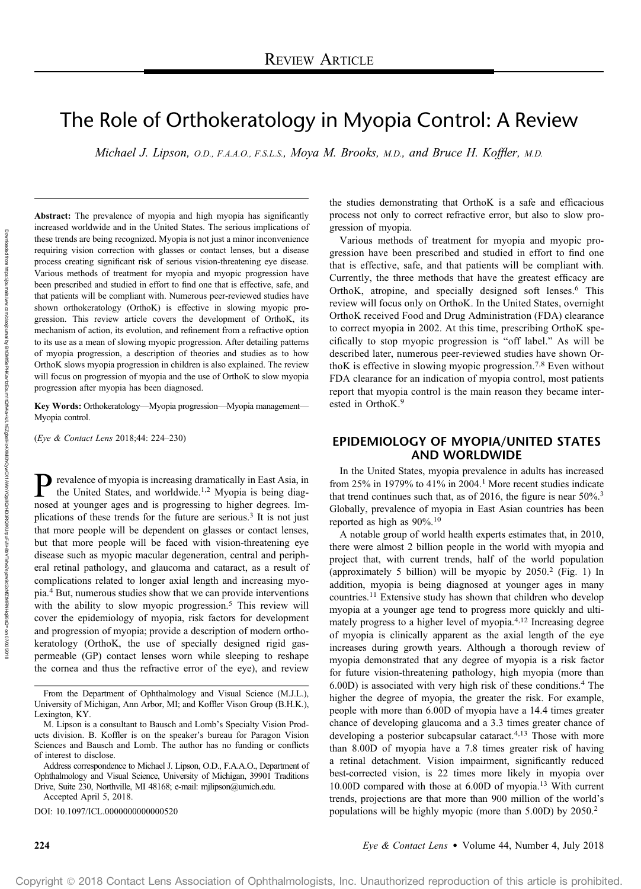# The Role of Orthokeratology in Myopia Control: A Review

Michael J. Lipson, O.D., F.A.A.O., F.S.L.S., Moya M. Brooks, M.D., and Bruce H. Koffler, M.D.

Abstract: The prevalence of myopia and high myopia has significantly increased worldwide and in the United States. The serious implications of these trends are being recognized. Myopia is not just a minor inconvenience requiring vision correction with glasses or contact lenses, but a disease process creating significant risk of serious vision-threatening eye disease. Various methods of treatment for myopia and myopic progression have been prescribed and studied in effort to find one that is effective, safe, and that patients will be compliant with. Numerous peer-reviewed studies have shown orthokeratology (OrthoK) is effective in slowing myopic progression. This review article covers the development of OrthoK, its mechanism of action, its evolution, and refinement from a refractive option to its use as a mean of slowing myopic progression. After detailing patterns of myopia progression, a description of theories and studies as to how OrthoK slows myopia progression in children is also explained. The review will focus on progression of myopia and the use of OrthoK to slow myopia progression after myopia has been diagnosed.

Key Words: Orthokeratology—Myopia progression—Myopia management— Myopia control.

(Eye & Contact Lens 2018;44: 224–230)

**P** revalence of myopia is increasing dramatically in East Asia, in the United States, and worldwide.<sup>1,2</sup> Myopia is being diag-<br>need at vouncer ages and is progressing to bigher downer. In the United States, and worldwide.<sup>1,2</sup> Myopia is being diagnosed at younger ages and is progressing to higher degrees. Implications of these trends for the future are serious.<sup>3</sup> It is not just that more people will be dependent on glasses or contact lenses, but that more people will be faced with vision-threatening eye disease such as myopic macular degeneration, central and peripheral retinal pathology, and glaucoma and cataract, as a result of complications related to longer axial length and increasing myopia.<sup>4</sup> But, numerous studies show that we can provide interventions with the ability to slow myopic progression.<sup>5</sup> This review will cover the epidemiology of myopia, risk factors for development and progression of myopia; provide a description of modern orthokeratology (OrthoK, the use of specially designed rigid gaspermeable (GP) contact lenses worn while sleeping to reshape the cornea and thus the refractive error of the eye), and review

DOI: 10.1097/ICL.0000000000000520

the studies demonstrating that OrthoK is a safe and efficacious process not only to correct refractive error, but also to slow progression of myopia.

Various methods of treatment for myopia and myopic progression have been prescribed and studied in effort to find one that is effective, safe, and that patients will be compliant with. Currently, the three methods that have the greatest efficacy are OrthoK, atropine, and specially designed soft lenses.<sup>6</sup> This review will focus only on OrthoK. In the United States, overnight OrthoK received Food and Drug Administration (FDA) clearance to correct myopia in 2002. At this time, prescribing OrthoK specifically to stop myopic progression is "off label." As will be described later, numerous peer-reviewed studies have shown OrthoK is effective in slowing myopic progression.<sup>7,8</sup> Even without FDA clearance for an indication of myopia control, most patients report that myopia control is the main reason they became interested in OrthoK.<sup>9</sup>

## EPIDEMIOLOGY OF MYOPIA/UNITED STATES AND WORLDWIDE

In the United States, myopia prevalence in adults has increased from 25% in 1979% to 41% in 2004.<sup>1</sup> More recent studies indicate that trend continues such that, as of 2016, the figure is near 50%.<sup>3</sup> Globally, prevalence of myopia in East Asian countries has been reported as high as 90%.<sup>10</sup>

A notable group of world health experts estimates that, in 2010, there were almost 2 billion people in the world with myopia and project that, with current trends, half of the world population (approximately 5 billion) will be myopic by 2050.<sup>2</sup> (Fig. 1) In addition, myopia is being diagnosed at younger ages in many countries.<sup>11</sup> Extensive study has shown that children who develop myopia at a younger age tend to progress more quickly and ultimately progress to a higher level of myopia.4,12 Increasing degree of myopia is clinically apparent as the axial length of the eye increases during growth years. Although a thorough review of myopia demonstrated that any degree of myopia is a risk factor for future vision-threatening pathology, high myopia (more than  $6.00D$ ) is associated with very high risk of these conditions.<sup>4</sup> The higher the degree of myopia, the greater the risk. For example, people with more than 6.00D of myopia have a 14.4 times greater chance of developing glaucoma and a 3.3 times greater chance of developing a posterior subcapsular cataract.<sup>4,13</sup> Those with more than 8.00D of myopia have a 7.8 times greater risk of having a retinal detachment. Vision impairment, significantly reduced best-corrected vision, is 22 times more likely in myopia over 10.00D compared with those at 6.00D of myopia.<sup>13</sup> With current trends, projections are that more than 900 million of the world's populations will be highly myopic (more than 5.00D) by 2050.<sup>2</sup>

From the Department of Ophthalmology and Visual Science (M.J.L.), University of Michigan, Ann Arbor, MI; and Koffler Vison Group (B.H.K.), Lexington, KY.

M. Lipson is a consultant to Bausch and Lomb's Specialty Vision Products division. B. Koffler is on the speaker's bureau for Paragon Vision Sciences and Bausch and Lomb. The author has no funding or conflicts of interest to disclose.

Address correspondence to Michael J. Lipson, O.D., F.A.A.O., Department of Ophthalmology and Visual Science, University of Michigan, 39901 Traditions Drive, Suite 230, Northville, MI 48168; e-mail: mjlipson@umich.edu. Accepted April 5, 2018.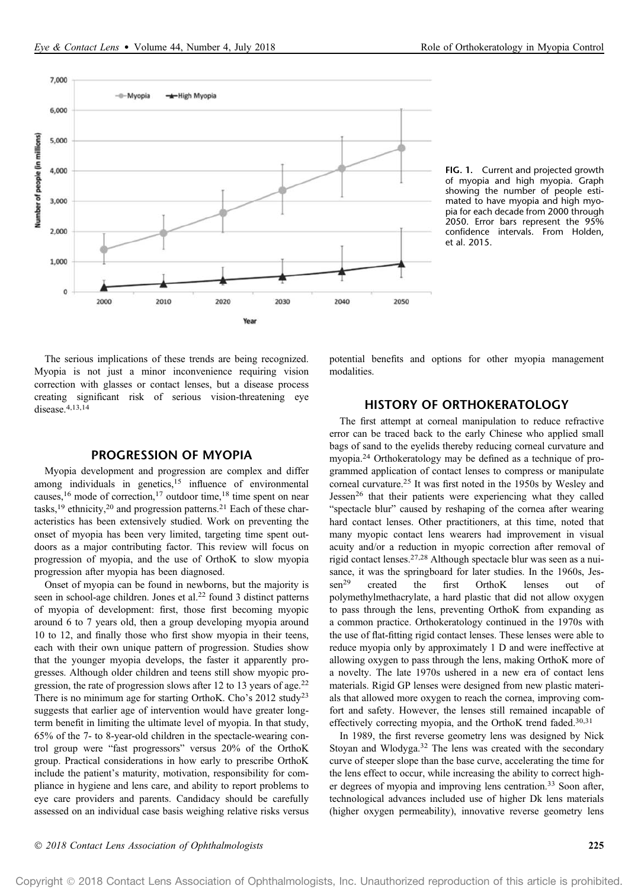

FIG. 1. Current and projected growth of myopia and high myopia. Graph showing the number of people estimated to have myopia and high myopia for each decade from 2000 through 2050. Error bars represent the 95% confidence intervals. From Holden, et al. 2015.

The serious implications of these trends are being recognized. Myopia is not just a minor inconvenience requiring vision correction with glasses or contact lenses, but a disease process creating significant risk of serious vision-threatening eye disease.4,13,14

## PROGRESSION OF MYOPIA

Myopia development and progression are complex and differ among individuals in genetics,<sup>15</sup> influence of environmental causes,<sup>16</sup> mode of correction,<sup>17</sup> outdoor time,<sup>18</sup> time spent on near tasks,<sup>19</sup> ethnicity,<sup>20</sup> and progression patterns.<sup>21</sup> Each of these characteristics has been extensively studied. Work on preventing the onset of myopia has been very limited, targeting time spent outdoors as a major contributing factor. This review will focus on progression of myopia, and the use of OrthoK to slow myopia progression after myopia has been diagnosed.

Onset of myopia can be found in newborns, but the majority is seen in school-age children. Jones et al.<sup>22</sup> found 3 distinct patterns of myopia of development: first, those first becoming myopic around 6 to 7 years old, then a group developing myopia around 10 to 12, and finally those who first show myopia in their teens, each with their own unique pattern of progression. Studies show that the younger myopia develops, the faster it apparently progresses. Although older children and teens still show myopic progression, the rate of progression slows after 12 to 13 years of age.<sup>22</sup> There is no minimum age for starting OrthoK. Cho's 2012 study<sup>23</sup> suggests that earlier age of intervention would have greater longterm benefit in limiting the ultimate level of myopia. In that study, 65% of the 7- to 8-year-old children in the spectacle-wearing control group were "fast progressors" versus 20% of the OrthoK group. Practical considerations in how early to prescribe OrthoK include the patient's maturity, motivation, responsibility for compliance in hygiene and lens care, and ability to report problems to eye care providers and parents. Candidacy should be carefully assessed on an individual case basis weighing relative risks versus potential benefits and options for other myopia management modalities.

## HISTORY OF ORTHOKERATOLOGY

The first attempt at corneal manipulation to reduce refractive error can be traced back to the early Chinese who applied small bags of sand to the eyelids thereby reducing corneal curvature and myopia.<sup>24</sup> Orthokeratology may be defined as a technique of programmed application of contact lenses to compress or manipulate corneal curvature.<sup>25</sup> It was first noted in the 1950s by Wesley and Jessen<sup>26</sup> that their patients were experiencing what they called "spectacle blur" caused by reshaping of the cornea after wearing hard contact lenses. Other practitioners, at this time, noted that many myopic contact lens wearers had improvement in visual acuity and/or a reduction in myopic correction after removal of rigid contact lenses.27,28 Although spectacle blur was seen as a nuisance, it was the springboard for later studies. In the 1960s, Jessen<sup>29</sup> created the first OrthoK lenses out of polymethylmethacrylate, a hard plastic that did not allow oxygen to pass through the lens, preventing OrthoK from expanding as a common practice. Orthokeratology continued in the 1970s with the use of flat-fitting rigid contact lenses. These lenses were able to reduce myopia only by approximately 1 D and were ineffective at allowing oxygen to pass through the lens, making OrthoK more of a novelty. The late 1970s ushered in a new era of contact lens materials. Rigid GP lenses were designed from new plastic materials that allowed more oxygen to reach the cornea, improving comfort and safety. However, the lenses still remained incapable of effectively correcting myopia, and the OrthoK trend faded.30,31

In 1989, the first reverse geometry lens was designed by Nick Stoyan and Wlodyga.<sup>32</sup> The lens was created with the secondary curve of steeper slope than the base curve, accelerating the time for the lens effect to occur, while increasing the ability to correct higher degrees of myopia and improving lens centration.<sup>33</sup> Soon after, technological advances included use of higher Dk lens materials (higher oxygen permeability), innovative reverse geometry lens

Copyright 2018 Contact Lens Association of Ophthalmologists, Inc. Unauthorized reproduction of this article is prohibited.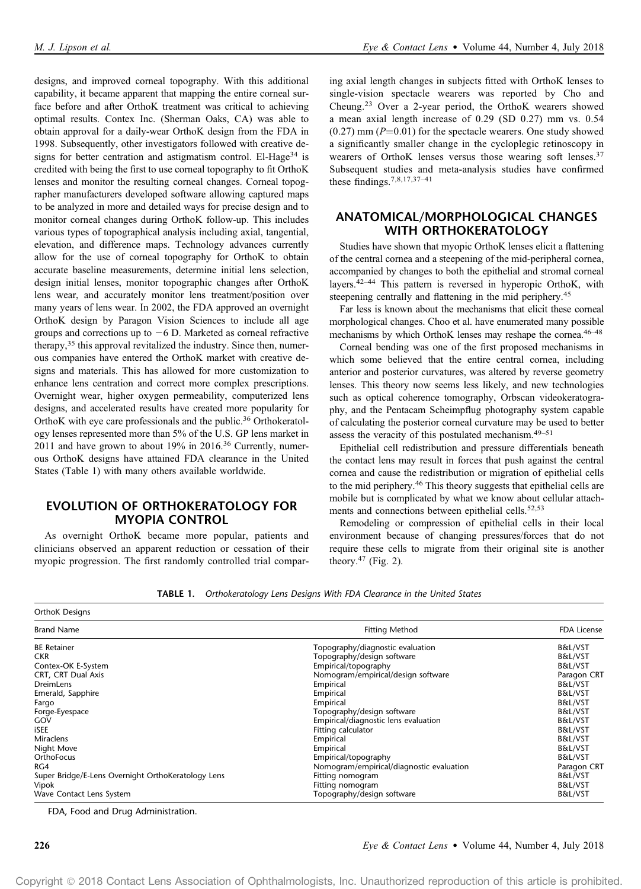designs, and improved corneal topography. With this additional capability, it became apparent that mapping the entire corneal surface before and after OrthoK treatment was critical to achieving optimal results. Contex Inc. (Sherman Oaks, CA) was able to obtain approval for a daily-wear OrthoK design from the FDA in 1998. Subsequently, other investigators followed with creative designs for better centration and astigmatism control. El-Hage<sup>34</sup> is credited with being the first to use corneal topography to fit OrthoK lenses and monitor the resulting corneal changes. Corneal topographer manufacturers developed software allowing captured maps to be analyzed in more and detailed ways for precise design and to monitor corneal changes during OrthoK follow-up. This includes various types of topographical analysis including axial, tangential, elevation, and difference maps. Technology advances currently allow for the use of corneal topography for OrthoK to obtain accurate baseline measurements, determine initial lens selection, design initial lenses, monitor topographic changes after OrthoK lens wear, and accurately monitor lens treatment/position over many years of lens wear. In 2002, the FDA approved an overnight OrthoK design by Paragon Vision Sciences to include all age groups and corrections up to  $-6$  D. Marketed as corneal refractive therapy,<sup>35</sup> this approval revitalized the industry. Since then, numerous companies have entered the OrthoK market with creative designs and materials. This has allowed for more customization to enhance lens centration and correct more complex prescriptions. Overnight wear, higher oxygen permeability, computerized lens designs, and accelerated results have created more popularity for OrthoK with eye care professionals and the public.<sup>36</sup> Orthokeratology lenses represented more than 5% of the U.S. GP lens market in 2011 and have grown to about 19% in 2016.<sup>36</sup> Currently, numerous OrthoK designs have attained FDA clearance in the United States (Table 1) with many others available worldwide.

# EVOLUTION OF ORTHOKERATOLOGY FOR MYOPIA CONTROL

As overnight OrthoK became more popular, patients and clinicians observed an apparent reduction or cessation of their myopic progression. The first randomly controlled trial comparing axial length changes in subjects fitted with OrthoK lenses to single-vision spectacle wearers was reported by Cho and Cheung.<sup>23</sup> Over a 2-year period, the OrthoK wearers showed a mean axial length increase of 0.29 (SD 0.27) mm vs. 0.54  $(0.27)$  mm  $(P=0.01)$  for the spectacle wearers. One study showed a significantly smaller change in the cycloplegic retinoscopy in wearers of OrthoK lenses versus those wearing soft lenses.<sup>37</sup> Subsequent studies and meta-analysis studies have confirmed these findings.7,8,17,37–<sup>41</sup>

# ANATOMICAL/MORPHOLOGICAL CHANGES WITH ORTHOKERATOLOGY

Studies have shown that myopic OrthoK lenses elicit a flattening of the central cornea and a steepening of the mid-peripheral cornea, accompanied by changes to both the epithelial and stromal corneal layers.42–<sup>44</sup> This pattern is reversed in hyperopic OrthoK, with steepening centrally and flattening in the mid periphery.<sup>45</sup>

Far less is known about the mechanisms that elicit these corneal morphological changes. Choo et al. have enumerated many possible mechanisms by which OrthoK lenses may reshape the cornea.46–<sup>48</sup>

Corneal bending was one of the first proposed mechanisms in which some believed that the entire central cornea, including anterior and posterior curvatures, was altered by reverse geometry lenses. This theory now seems less likely, and new technologies such as optical coherence tomography, Orbscan videokeratography, and the Pentacam Scheimpflug photography system capable of calculating the posterior corneal curvature may be used to better assess the veracity of this postulated mechanism.49–<sup>51</sup>

Epithelial cell redistribution and pressure differentials beneath the contact lens may result in forces that push against the central cornea and cause the redistribution or migration of epithelial cells to the mid periphery.<sup>46</sup> This theory suggests that epithelial cells are mobile but is complicated by what we know about cellular attachments and connections between epithelial cells.<sup>52,53</sup>

Remodeling or compression of epithelial cells in their local environment because of changing pressures/forces that do not require these cells to migrate from their original site is another theory.<sup>47</sup> (Fig. 2).

| <b>OrthoK Designs</b>                              |                                          |                    |  |  |  |  |
|----------------------------------------------------|------------------------------------------|--------------------|--|--|--|--|
| <b>Brand Name</b>                                  | <b>Fitting Method</b>                    | <b>FDA License</b> |  |  |  |  |
| <b>BE Retainer</b>                                 | Topography/diagnostic evaluation         | B&L/VST            |  |  |  |  |
| <b>CKR</b>                                         | Topography/design software               | <b>B&amp;L/VST</b> |  |  |  |  |
| Contex-OK E-System                                 | Empirical/topography                     | <b>B&amp;L/VST</b> |  |  |  |  |
| CRT, CRT Dual Axis                                 | Nomogram/empirical/design software       | Paragon CRT        |  |  |  |  |
| <b>DreimLens</b>                                   | Empirical                                | <b>B&amp;L/VST</b> |  |  |  |  |
| Emerald, Sapphire                                  | Empirical                                | <b>B&amp;L/VST</b> |  |  |  |  |
| Fargo                                              | Empirical                                | <b>B&amp;L/VST</b> |  |  |  |  |
| Forge-Eyespace                                     | Topography/design software               | <b>B&amp;L/VST</b> |  |  |  |  |
| GOV                                                | Empirical/diagnostic lens evaluation     | <b>B&amp;L/VST</b> |  |  |  |  |
| iSEE                                               | Fitting calculator                       | <b>B&amp;L/VST</b> |  |  |  |  |
| <b>Miraclens</b>                                   | Empirical                                | <b>B&amp;L/VST</b> |  |  |  |  |
| Night Move                                         | Empirical                                | <b>B&amp;L/VST</b> |  |  |  |  |
| OrthoFocus                                         | Empirical/topography                     | B&L/VST            |  |  |  |  |
| RG4                                                | Nomogram/empirical/diagnostic evaluation | Paragon CRT        |  |  |  |  |
| Super Bridge/E-Lens Overnight OrthoKeratology Lens | Fitting nomogram                         | <b>B&amp;L/VST</b> |  |  |  |  |
| Vipok                                              | Fitting nomogram                         | <b>B&amp;L/VST</b> |  |  |  |  |
| Wave Contact Lens System                           | Topography/design software               | <b>B&amp;L/VST</b> |  |  |  |  |

TABLE 1. *Orthokeratology Lens Designs With FDA Clearance in the United States*

FDA, Food and Drug Administration.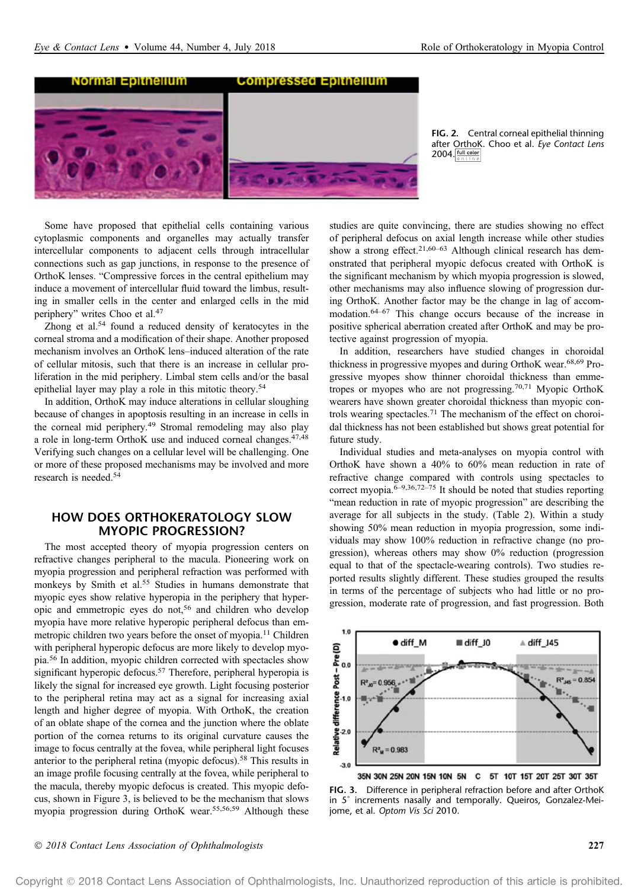

FIG. 2. Central corneal epithelial thinning after OrthoK. Choo et al. *Eye Contact Lens*  $2004.$   $\frac{\text{full color}}{\text{200}}$ 

Some have proposed that epithelial cells containing various cytoplasmic components and organelles may actually transfer intercellular components to adjacent cells through intracellular connections such as gap junctions, in response to the presence of OrthoK lenses. "Compressive forces in the central epithelium may induce a movement of intercellular fluid toward the limbus, resulting in smaller cells in the center and enlarged cells in the mid periphery" writes Choo et al.<sup>47</sup>

Zhong et al.<sup>54</sup> found a reduced density of keratocytes in the corneal stroma and a modification of their shape. Another proposed mechanism involves an OrthoK lens–induced alteration of the rate of cellular mitosis, such that there is an increase in cellular proliferation in the mid periphery. Limbal stem cells and/or the basal epithelial layer may play a role in this mitotic theory.<sup>54</sup>

In addition, OrthoK may induce alterations in cellular sloughing because of changes in apoptosis resulting in an increase in cells in the corneal mid periphery.<sup>49</sup> Stromal remodeling may also play a role in long-term OrthoK use and induced corneal changes.<sup>47,48</sup> Verifying such changes on a cellular level will be challenging. One or more of these proposed mechanisms may be involved and more research is needed.<sup>54</sup>

# HOW DOES ORTHOKERATOLOGY SLOW MYOPIC PROGRESSION?

The most accepted theory of myopia progression centers on refractive changes peripheral to the macula. Pioneering work on myopia progression and peripheral refraction was performed with monkeys by Smith et al.<sup>55</sup> Studies in humans demonstrate that myopic eyes show relative hyperopia in the periphery that hyperopic and emmetropic eyes do not,<sup>56</sup> and children who develop myopia have more relative hyperopic peripheral defocus than emmetropic children two years before the onset of myopia.<sup>11</sup> Children with peripheral hyperopic defocus are more likely to develop myopia.<sup>56</sup> In addition, myopic children corrected with spectacles show significant hyperopic defocus.<sup>57</sup> Therefore, peripheral hyperopia is likely the signal for increased eye growth. Light focusing posterior to the peripheral retina may act as a signal for increasing axial length and higher degree of myopia. With OrthoK, the creation of an oblate shape of the cornea and the junction where the oblate portion of the cornea returns to its original curvature causes the image to focus centrally at the fovea, while peripheral light focuses anterior to the peripheral retina (myopic defocus).<sup>58</sup> This results in an image profile focusing centrally at the fovea, while peripheral to the macula, thereby myopic defocus is created. This myopic defocus, shown in Figure 3, is believed to be the mechanism that slows myopia progression during OrthoK wear.55,56,59 Although these studies are quite convincing, there are studies showing no effect of peripheral defocus on axial length increase while other studies show a strong effect.<sup>21,60–63</sup> Although clinical research has demonstrated that peripheral myopic defocus created with OrthoK is the significant mechanism by which myopia progression is slowed, other mechanisms may also influence slowing of progression during OrthoK. Another factor may be the change in lag of accommodation.64–<sup>67</sup> This change occurs because of the increase in positive spherical aberration created after OrthoK and may be protective against progression of myopia.

In addition, researchers have studied changes in choroidal thickness in progressive myopes and during OrthoK wear.68,69 Progressive myopes show thinner choroidal thickness than emmetropes or myopes who are not progressing.70,71 Myopic OrthoK wearers have shown greater choroidal thickness than myopic controls wearing spectacles.<sup>71</sup> The mechanism of the effect on choroidal thickness has not been established but shows great potential for future study.

Individual studies and meta-analyses on myopia control with OrthoK have shown a 40% to 60% mean reduction in rate of refractive change compared with controls using spectacles to correct myopia.6–9,36,72–<sup>75</sup> It should be noted that studies reporting "mean reduction in rate of myopic progression" are describing the average for all subjects in the study. (Table 2). Within a study showing 50% mean reduction in myopia progression, some individuals may show 100% reduction in refractive change (no progression), whereas others may show 0% reduction (progression equal to that of the spectacle-wearing controls). Two studies reported results slightly different. These studies grouped the results in terms of the percentage of subjects who had little or no progression, moderate rate of progression, and fast progression. Both



35N 30N 25N 20N 15N 10N 5N C 5T 10T 15T 20T 25T 30T 35T

FIG. 3. Difference in peripheral refraction before and after OrthoK in 5˚ increments nasally and temporally. Queiros, Gonzalez-Meijome, et al. *Optom Vis Sci* 2010.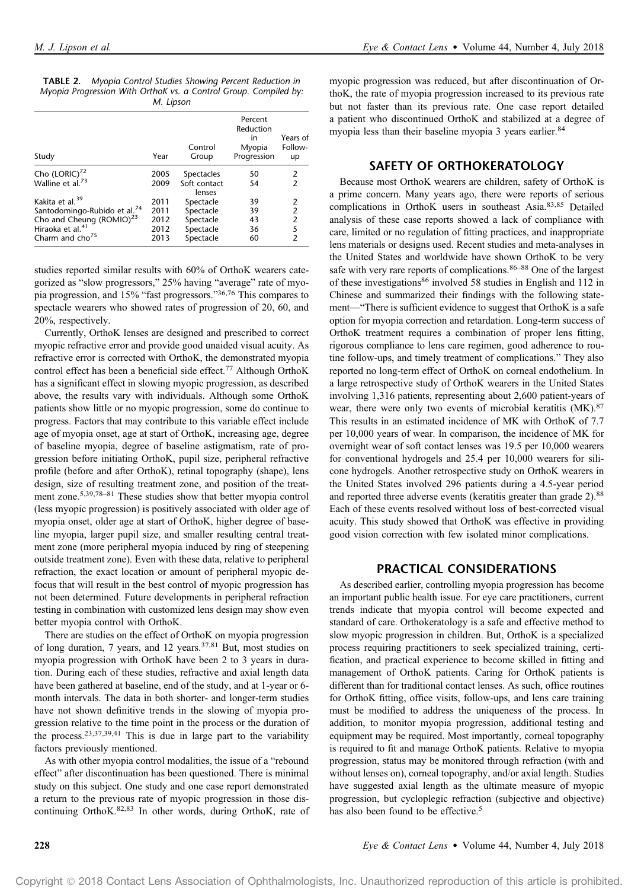| <b>TABLE 2.</b> Myopia Control Studies Showing Percent Reduction in |           |  |  |
|---------------------------------------------------------------------|-----------|--|--|
| Myopia Progression With Orthok vs. a Control Group. Compiled by:    |           |  |  |
|                                                                     | M. Lipson |  |  |

| Study                                                                                                                                                                          | Year                                 | Control<br>Group                                              | Percent<br>Reduction<br>in<br>Myopia<br>Progression | Years of<br>Follow-<br>up                       |
|--------------------------------------------------------------------------------------------------------------------------------------------------------------------------------|--------------------------------------|---------------------------------------------------------------|-----------------------------------------------------|-------------------------------------------------|
| Cho (LORIC) <sup>72</sup><br>Walline et al. <sup>73</sup>                                                                                                                      | 2005<br>2009                         | Spectacles<br>Soft contact<br>lenses                          | 50<br>54                                            | 2<br>2                                          |
| Kakita et al. <sup>39</sup><br>Santodomingo-Rubido et al. <sup>74</sup><br>Cho and Cheung (ROMIO) <sup>23</sup><br>Hiraoka et al. <sup>41</sup><br>Charm and cho <sup>75</sup> | 2011<br>2011<br>2012<br>2012<br>2013 | Spectacle<br>Spectacle<br>Spectacle<br>Spectacle<br>Spectacle | 39<br>39<br>43<br>36<br>60                          | 2<br>2<br>$\overline{2}$<br>5<br>$\overline{2}$ |

studies reported similar results with 60% of OrthoK wearers categorized as "slow progressors," 25% having "average" rate of myopia progression, and 15% "fast progressors." 36,76 This compares to spectacle wearers who showed rates of progression of 20, 60, and 20%, respectively.

Currently, OrthoK lenses are designed and prescribed to correct myopic refractive error and provide good unaided visual acuity. As refractive error is corrected with OrthoK, the demonstrated myopia control effect has been a beneficial side effect.<sup>77</sup> Although OrthoK has a significant effect in slowing myopic progression, as described above, the results vary with individuals. Although some OrthoK patients show little or no myopic progression, some do continue to progress. Factors that may contribute to this variable effect include age of myopia onset, age at start of OrthoK, increasing age, degree of baseline myopia, degree of baseline astigmatism, rate of progression before initiating OrthoK, pupil size, peripheral refractive profile (before and after OrthoK), retinal topography (shape), lens design, size of resulting treatment zone, and position of the treatment zone.<sup>5,39,78-81</sup> These studies show that better myopia control (less myopic progression) is positively associated with older age of myopia onset, older age at start of OrthoK, higher degree of baseline myopia, larger pupil size, and smaller resulting central treatment zone (more peripheral myopia induced by ring of steepening outside treatment zone). Even with these data, relative to peripheral refraction, the exact location or amount of peripheral myopic defocus that will result in the best control of myopic progression has not been determined. Future developments in peripheral refraction testing in combination with customized lens design may show even better myopia control with OrthoK.

There are studies on the effect of OrthoK on myopia progression of long duration, 7 years, and 12 years.37,81 But, most studies on myopia progression with OrthoK have been 2 to 3 years in duration. During each of these studies, refractive and axial length data have been gathered at baseline, end of the study, and at 1-year or 6 month intervals. The data in both shorter- and longer-term studies have not shown definitive trends in the slowing of myopia progression relative to the time point in the process or the duration of the process.<sup>23,37,39,41</sup> This is due in large part to the variability factors previously mentioned.

As with other myopia control modalities, the issue of a "rebound effect" after discontinuation has been questioned. There is minimal study on this subject. One study and one case report demonstrated a return to the previous rate of myopic progression in those discontinuing OrthoK.82,83 In other words, during OrthoK, rate of myopic progression was reduced, but after discontinuation of OrthoK, the rate of myopia progression increased to its previous rate but not faster than its previous rate. One case report detailed a patient who discontinued OrthoK and stabilized at a degree of myopia less than their baseline myopia 3 years earlier.<sup>84</sup>

## SAFETY OF ORTHOKERATOLOGY

Because most OrthoK wearers are children, safety of OrthoK is a prime concern. Many years ago, there were reports of serious complications in OrthoK users in southeast Asia.83,85 Detailed analysis of these case reports showed a lack of compliance with care, limited or no regulation of fitting practices, and inappropriate lens materials or designs used. Recent studies and meta-analyses in the United States and worldwide have shown OrthoK to be very safe with very rare reports of complications.<sup>86–88</sup> One of the largest of these investigations<sup>86</sup> involved 58 studies in English and 112 in Chinese and summarized their findings with the following statement—"There is sufficient evidence to suggest that OrthoK is a safe option for myopia correction and retardation. Long-term success of OrthoK treatment requires a combination of proper lens fitting, rigorous compliance to lens care regimen, good adherence to routine follow-ups, and timely treatment of complications." They also reported no long-term effect of OrthoK on corneal endothelium. In a large retrospective study of OrthoK wearers in the United States involving 1,316 patients, representing about 2,600 patient-years of wear, there were only two events of microbial keratitis (MK).<sup>87</sup> This results in an estimated incidence of MK with OrthoK of 7.7 per 10,000 years of wear. In comparison, the incidence of MK for overnight wear of soft contact lenses was 19.5 per 10,000 wearers for conventional hydrogels and 25.4 per 10,000 wearers for silicone hydrogels. Another retrospective study on OrthoK wearers in the United States involved 296 patients during a 4.5-year period and reported three adverse events (keratitis greater than grade 2).<sup>88</sup> Each of these events resolved without loss of best-corrected visual acuity. This study showed that OrthoK was effective in providing good vision correction with few isolated minor complications.

### PRACTICAL CONSIDERATIONS

As described earlier, controlling myopia progression has become an important public health issue. For eye care practitioners, current trends indicate that myopia control will become expected and standard of care. Orthokeratology is a safe and effective method to slow myopic progression in children. But, OrthoK is a specialized process requiring practitioners to seek specialized training, certification, and practical experience to become skilled in fitting and management of OrthoK patients. Caring for OrthoK patients is different than for traditional contact lenses. As such, office routines for OrthoK fitting, office visits, follow-ups, and lens care training must be modified to address the uniqueness of the process. In addition, to monitor myopia progression, additional testing and equipment may be required. Most importantly, corneal topography is required to fit and manage OrthoK patients. Relative to myopia progression, status may be monitored through refraction (with and without lenses on), corneal topography, and/or axial length. Studies have suggested axial length as the ultimate measure of myopic progression, but cycloplegic refraction (subjective and objective) has also been found to be effective.<sup>5</sup>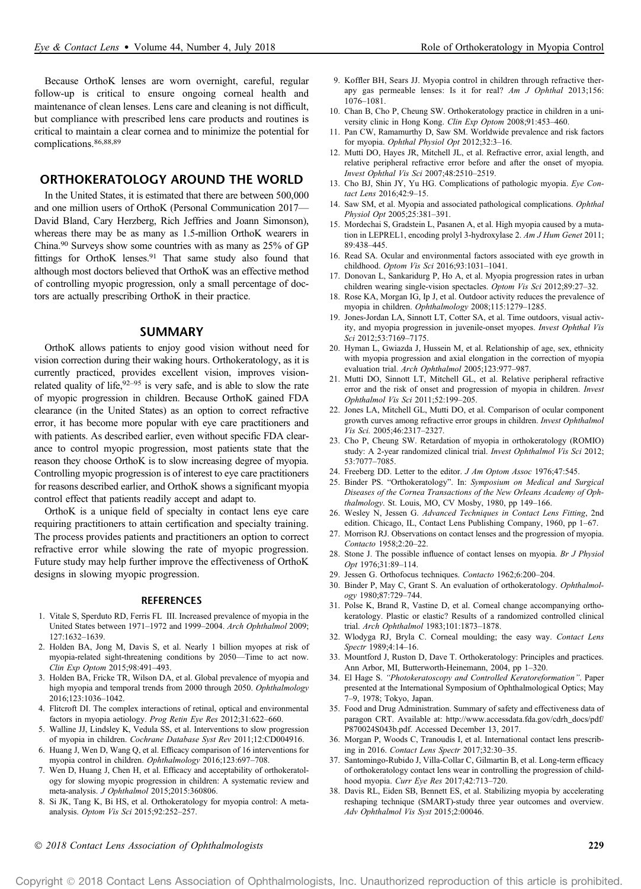# ORTHOKERATOLOGY AROUND THE WORLD

In the United States, it is estimated that there are between 500,000 and one million users of OrthoK (Personal Communication 2017— David Bland, Cary Herzberg, Rich Jeffries and Joann Simonson), whereas there may be as many as 1.5-million OrthoK wearers in China.<sup>90</sup> Surveys show some countries with as many as 25% of GP fittings for OrthoK lenses.<sup>91</sup> That same study also found that although most doctors believed that OrthoK was an effective method of controlling myopic progression, only a small percentage of doctors are actually prescribing OrthoK in their practice.

#### SUMMARY

OrthoK allows patients to enjoy good vision without need for vision correction during their waking hours. Orthokeratology, as it is currently practiced, provides excellent vision, improves visionrelated quality of life,  $92-95$  is very safe, and is able to slow the rate of myopic progression in children. Because OrthoK gained FDA clearance (in the United States) as an option to correct refractive error, it has become more popular with eye care practitioners and with patients. As described earlier, even without specific FDA clearance to control myopic progression, most patients state that the reason they choose OrthoK is to slow increasing degree of myopia. Controlling myopic progression is of interest to eye care practitioners for reasons described earlier, and OrthoK shows a significant myopia control effect that patients readily accept and adapt to.

OrthoK is a unique field of specialty in contact lens eye care requiring practitioners to attain certification and specialty training. The process provides patients and practitioners an option to correct refractive error while slowing the rate of myopic progression. Future study may help further improve the effectiveness of OrthoK designs in slowing myopic progression.

#### **REFERENCES**

- 1. Vitale S, Sperduto RD, Ferris FL III. Increased prevalence of myopia in the United States between 1971–1972 and 1999–2004. Arch Ophthalmol 2009; 127:1632–1639.
- 2. Holden BA, Jong M, Davis S, et al. Nearly 1 billion myopes at risk of myopia-related sight-threatening conditions by 2050—Time to act now. Clin Exp Optom 2015;98:491–493.
- 3. Holden BA, Fricke TR, Wilson DA, et al. Global prevalence of myopia and high myopia and temporal trends from 2000 through 2050. Ophthalmology 2016;123:1036–1042.
- 4. Flitcroft DI. The complex interactions of retinal, optical and environmental factors in myopia aetiology. Prog Retin Eye Res 2012;31:622–660.
- 5. Walline JJ, Lindsley K, Vedula SS, et al. Interventions to slow progression of myopia in children. Cochrane Database Syst Rev 2011;12:CD004916.
- 6. Huang J, Wen D, Wang Q, et al. Efficacy comparison of 16 interventions for myopia control in children. Ophthalmology 2016;123:697–708.
- 7. Wen D, Huang J, Chen H, et al. Efficacy and acceptability of orthokeratology for slowing myopic progression in children: A systematic review and meta-analysis. J Ophthalmol 2015;2015:360806.
- 8. Si JK, Tang K, Bi HS, et al. Orthokeratology for myopia control: A metaanalysis. Optom Vis Sci 2015;92:252–257.
- 1076–1081. 10. Chan B, Cho P, Cheung SW. Orthokeratology practice in children in a uni-
- versity clinic in Hong Kong. Clin Exp Optom 2008;91:453–460.
- 11. Pan CW, Ramamurthy D, Saw SM. Worldwide prevalence and risk factors for myopia. Ophthal Physiol Opt 2012;32:3–16.
- 12. Mutti DO, Hayes JR, Mitchell JL, et al. Refractive error, axial length, and relative peripheral refractive error before and after the onset of myopia. Invest Ophthal Vis Sci 2007;48:2510–2519.
- 13. Cho BJ, Shin JY, Yu HG. Complications of pathologic myopia. Eye Contact Lens 2016;42:9–15.
- 14. Saw SM, et al. Myopia and associated pathological complications. Ophthal Physiol Opt 2005;25:381–391.
- 15. Mordechai S, Gradstein L, Pasanen A, et al. High myopia caused by a mutation in LEPREL1, encoding prolyl 3-hydroxylase 2. Am J Hum Genet 2011; 89:438–445.
- 16. Read SA. Ocular and environmental factors associated with eye growth in childhood. Optom Vis Sci 2016;93:1031–1041.
- 17. Donovan L, Sankaridurg P, Ho A, et al. Myopia progression rates in urban children wearing single-vision spectacles. Optom Vis Sci 2012;89:27–32.
- 18. Rose KA, Morgan IG, Ip J, et al. Outdoor activity reduces the prevalence of myopia in children. Ophthalmology 2008;115:1279–1285.
- 19. Jones-Jordan LA, Sinnott LT, Cotter SA, et al. Time outdoors, visual activity, and myopia progression in juvenile-onset myopes. Invest Ophthal Vis Sci 2012;53:7169–7175.
- 20. Hyman L, Gwiazda J, Hussein M, et al. Relationship of age, sex, ethnicity with myopia progression and axial elongation in the correction of myopia evaluation trial. Arch Ophthalmol 2005;123:977–987.
- 21. Mutti DO, Sinnott LT, Mitchell GL, et al. Relative peripheral refractive error and the risk of onset and progression of myopia in children. Invest Ophthalmol Vis Sci 2011;52:199–205.
- 22. Jones LA, Mitchell GL, Mutti DO, et al. Comparison of ocular component growth curves among refractive error groups in children. Invest Ophthalmol Vis Sci. 2005;46:2317–2327.
- 23. Cho P, Cheung SW. Retardation of myopia in orthokeratology (ROMIO) study: A 2-year randomized clinical trial. Invest Ophthalmol Vis Sci 2012; 53:7077–7085.
- 24. Freeberg DD. Letter to the editor. J Am Optom Assoc 1976;47:545.
- 25. Binder PS. "Orthokeratology". In: Symposium on Medical and Surgical Diseases of the Cornea Transactions of the New Orleans Academy of Ophthalmology. St. Louis, MO, CV Mosby, 1980, pp 149–166.
- 26. Wesley N, Jessen G. Advanced Techniques in Contact Lens Fitting, 2nd edition. Chicago, IL, Contact Lens Publishing Company, 1960, pp 1–67.
- 27. Morrison RJ. Observations on contact lenses and the progression of myopia. Contacto 1958;2:20–22.
- 28. Stone J. The possible influence of contact lenses on myopia. Br J Physiol Opt 1976;31:89–114.
- 29. Jessen G. Orthofocus techniques. Contacto 1962;6:200–204.
- 30. Binder P, May C, Grant S. An evaluation of orthokeratology. Ophthalmology 1980;87:729–744.
- 31. Polse K, Brand R, Vastine D, et al. Corneal change accompanying orthokeratology. Plastic or elastic? Results of a randomized controlled clinical trial. Arch Ophthalmol 1983;101:1873–1878.
- 32. Wlodyga RJ, Bryla C. Corneal moulding; the easy way. Contact Lens Spectr 1989;4:14–16.
- 33. Mountford J, Ruston D, Dave T. Orthokeratology: Principles and practices. Ann Arbor, MI, Butterworth-Heinemann, 2004, pp 1–320.
- 34. El Hage S. "Photokeratoscopy and Controlled Keratoreformation". Paper presented at the International Symposium of Ophthalmological Optics; May 7–9, 1978; Tokyo, Japan.
- 35. Food and Drug Administration. Summary of safety and effectiveness data of paragon CRT. Available at: http://www.accessdata.fda.gov/cdrh\_docs/pdf/ P870024S043b.pdf. Accessed December 13, 2017.
- 36. Morgan P, Woods C, Tranoudis I, et al. International contact lens prescribing in 2016. Contact Lens Spectr 2017;32:30–35.
- 37. Santomingo-Rubido J, Villa-Collar C, Gilmartin B, et al. Long-term efficacy of orthokeratology contact lens wear in controlling the progression of childhood myopia. Curr Eye Res 2017;42:713–720.
- 38. Davis RL, Eiden SB, Bennett ES, et al. Stabilizing myopia by accelerating reshaping technique (SMART)-study three year outcomes and overview. Adv Ophthalmol Vis Syst 2015;2:00046.

#### 2018 Contact Lens Association of Ophthalmologists 229

Copyright 2018 Contact Lens Association of Ophthalmologists, Inc. Unauthorized reproduction of this article is prohibited.